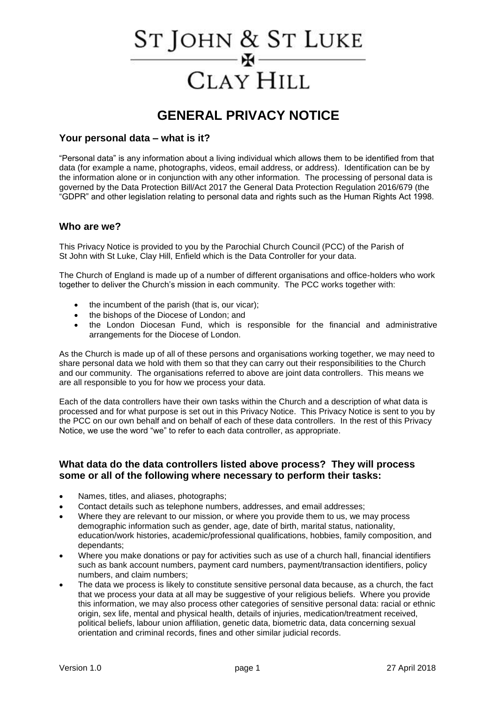# St John & St Luke - H -**CLAY HILL**

# **GENERAL PRIVACY NOTICE**

#### **Your personal data – what is it?**

"Personal data" is any information about a living individual which allows them to be identified from that data (for example a name, photographs, videos, email address, or address). Identification can be by the information alone or in conjunction with any other information. The processing of personal data is governed by the Data Protection Bill/Act 2017 the General Data Protection Regulation 2016/679 (the "GDPR" and other legislation relating to personal data and rights such as the Human Rights Act 1998.

#### **Who are we?**

This Privacy Notice is provided to you by the Parochial Church Council (PCC) of the Parish of St John with St Luke, Clay Hill, Enfield which is the Data Controller for your data.

The Church of England is made up of a number of different organisations and office-holders who work together to deliver the Church's mission in each community. The PCC works together with:

- the incumbent of the parish (that is, our vicar);
- the bishops of the Diocese of London; and
- the London Diocesan Fund, which is responsible for the financial and administrative arrangements for the Diocese of London.

As the Church is made up of all of these persons and organisations working together, we may need to share personal data we hold with them so that they can carry out their responsibilities to the Church and our community. The organisations referred to above are joint data controllers. This means we are all responsible to you for how we process your data.

Each of the data controllers have their own tasks within the Church and a description of what data is processed and for what purpose is set out in this Privacy Notice. This Privacy Notice is sent to you by the PCC on our own behalf and on behalf of each of these data controllers. In the rest of this Privacy Notice, we use the word "we" to refer to each data controller, as appropriate.

#### **What data do the data controllers listed above process? They will process some or all of the following where necessary to perform their tasks:**

- Names, titles, and aliases, photographs;
- Contact details such as telephone numbers, addresses, and email addresses;
- Where they are relevant to our mission, or where you provide them to us, we may process demographic information such as gender, age, date of birth, marital status, nationality, education/work histories, academic/professional qualifications, hobbies, family composition, and dependants;
- Where you make donations or pay for activities such as use of a church hall, financial identifiers such as bank account numbers, payment card numbers, payment/transaction identifiers, policy numbers, and claim numbers;
- The data we process is likely to constitute sensitive personal data because, as a church, the fact that we process your data at all may be suggestive of your religious beliefs. Where you provide this information, we may also process other categories of sensitive personal data: racial or ethnic origin, sex life, mental and physical health, details of injuries, medication/treatment received, political beliefs, labour union affiliation, genetic data, biometric data, data concerning sexual orientation and criminal records, fines and other similar judicial records.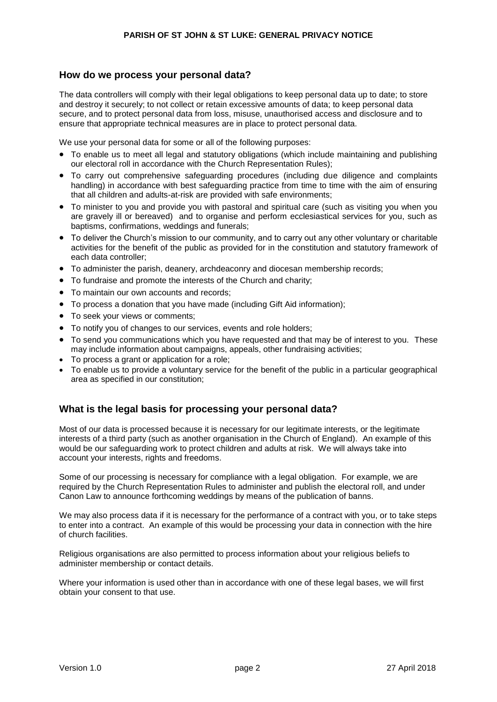#### **How do we process your personal data?**

The data controllers will comply with their legal obligations to keep personal data up to date; to store and destroy it securely; to not collect or retain excessive amounts of data; to keep personal data secure, and to protect personal data from loss, misuse, unauthorised access and disclosure and to ensure that appropriate technical measures are in place to protect personal data.

We use your personal data for some or all of the following purposes:

- To enable us to meet all legal and statutory obligations (which include maintaining and publishing our electoral roll in accordance with the Church Representation Rules);
- To carry out comprehensive safeguarding procedures (including due diligence and complaints handling) in accordance with best safeguarding practice from time to time with the aim of ensuring that all children and adults-at-risk are provided with safe environments;
- To minister to you and provide you with pastoral and spiritual care (such as visiting you when you are gravely ill or bereaved) and to organise and perform ecclesiastical services for you, such as baptisms, confirmations, weddings and funerals;
- To deliver the Church's mission to our community, and to carry out any other voluntary or charitable activities for the benefit of the public as provided for in the constitution and statutory framework of each data controller;
- To administer the parish, deanery, archdeaconry and diocesan membership records;
- To fundraise and promote the interests of the Church and charity;
- To maintain our own accounts and records;
- To process a donation that you have made (including Gift Aid information);
- To seek your views or comments;
- To notify you of changes to our services, events and role holders;
- To send you communications which you have requested and that may be of interest to you. These may include information about campaigns, appeals, other fundraising activities;
- To process a grant or application for a role;
- To enable us to provide a voluntary service for the benefit of the public in a particular geographical area as specified in our constitution;

# **What is the legal basis for processing your personal data?**

Most of our data is processed because it is necessary for our legitimate interests, or the legitimate interests of a third party (such as another organisation in the Church of England). An example of this would be our safeguarding work to protect children and adults at risk. We will always take into account your interests, rights and freedoms.

Some of our processing is necessary for compliance with a legal obligation. For example, we are required by the Church Representation Rules to administer and publish the electoral roll, and under Canon Law to announce forthcoming weddings by means of the publication of banns.

We may also process data if it is necessary for the performance of a contract with you, or to take steps to enter into a contract. An example of this would be processing your data in connection with the hire of church facilities.

Religious organisations are also permitted to process information about your religious beliefs to administer membership or contact details.

Where your information is used other than in accordance with one of these legal bases, we will first obtain your consent to that use.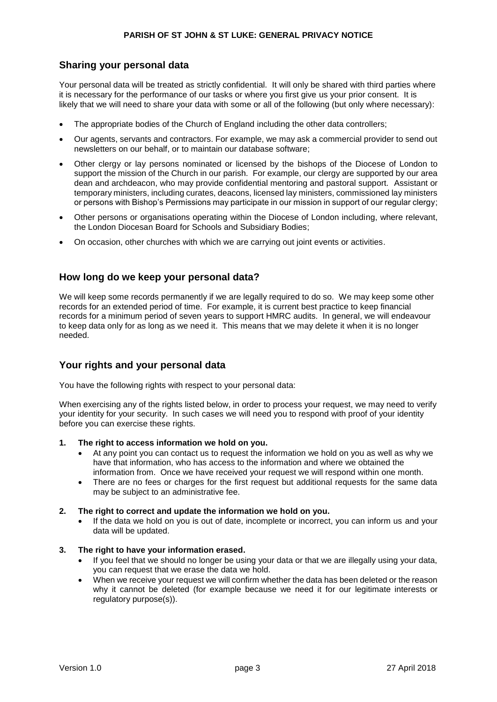# **Sharing your personal data**

Your personal data will be treated as strictly confidential. It will only be shared with third parties where it is necessary for the performance of our tasks or where you first give us your prior consent. It is likely that we will need to share your data with some or all of the following (but only where necessary):

- The appropriate bodies of the Church of England including the other data controllers;
- Our agents, servants and contractors. For example, we may ask a commercial provider to send out newsletters on our behalf, or to maintain our database software;
- Other clergy or lay persons nominated or licensed by the bishops of the Diocese of London to support the mission of the Church in our parish. For example, our clergy are supported by our area dean and archdeacon, who may provide confidential mentoring and pastoral support. Assistant or temporary ministers, including curates, deacons, licensed lay ministers, commissioned lay ministers or persons with Bishop's Permissions may participate in our mission in support of our regular clergy;
- Other persons or organisations operating within the Diocese of London including, where relevant, the London Diocesan Board for Schools and Subsidiary Bodies;
- On occasion, other churches with which we are carrying out joint events or activities.

#### **How long do we keep your personal data?**

We will keep some records permanently if we are legally required to do so. We may keep some other records for an extended period of time. For example, it is current best practice to keep financial records for a minimum period of seven years to support HMRC audits. In general, we will endeavour to keep data only for as long as we need it. This means that we may delete it when it is no longer needed.

# **Your rights and your personal data**

You have the following rights with respect to your personal data:

When exercising any of the rights listed below, in order to process your request, we may need to verify your identity for your security. In such cases we will need you to respond with proof of your identity before you can exercise these rights.

- **1. The right to access information we hold on you.**
	- At any point you can contact us to request the information we hold on you as well as why we have that information, who has access to the information and where we obtained the information from. Once we have received your request we will respond within one month.
	- There are no fees or charges for the first request but additional requests for the same data may be subject to an administrative fee.

#### **2. The right to correct and update the information we hold on you.**

• If the data we hold on you is out of date, incomplete or incorrect, you can inform us and your data will be updated.

#### **3. The right to have your information erased.**

- If you feel that we should no longer be using your data or that we are illegally using your data, you can request that we erase the data we hold.
- When we receive your request we will confirm whether the data has been deleted or the reason why it cannot be deleted (for example because we need it for our legitimate interests or regulatory purpose(s)).